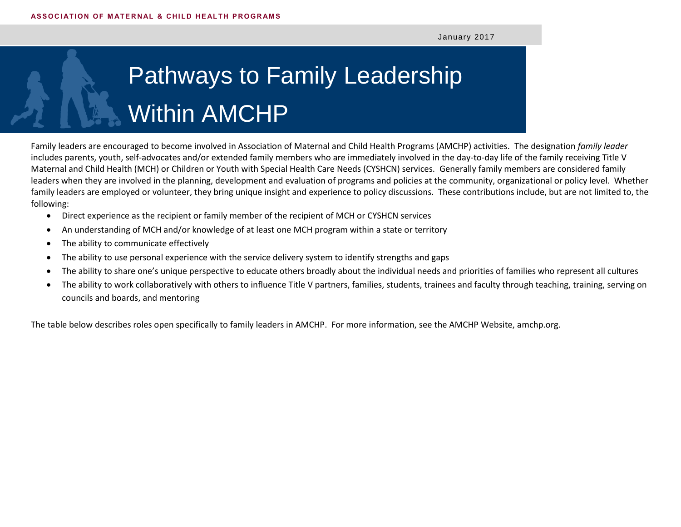January 2017

## Pathways to Family Leadership Within AMCHP

Family leaders are encouraged to become involved in Association of Maternal and Child Health Programs (AMCHP) activities. The designation *family leader*  includes parents, youth, self-advocates and/or extended family members who are immediately involved in the day-to-day life of the family receiving Title V Maternal and Child Health (MCH) or Children or Youth with Special Health Care Needs (CYSHCN) services. Generally family members are considered family leaders when they are involved in the planning, development and evaluation of programs and policies at the community, organizational or policy level. Whether family leaders are employed or volunteer, they bring unique insight and experience to policy discussions. These contributions include, but are not limited to, the following:

- Direct experience as the recipient or family member of the recipient of MCH or CYSHCN services
- An understanding of MCH and/or knowledge of at least one MCH program within a state or territory
- The ability to communicate effectively
- The ability to use personal experience with the service delivery system to identify strengths and gaps
- The ability to share one's unique perspective to educate others broadly about the individual needs and priorities of families who represent all cultures
- The ability to work collaboratively with others to influence Title V partners, families, students, trainees and faculty through teaching, training, serving on councils and boards, and mentoring

The table below describes roles open specifically to family leaders in AMCHP. For more information, see the AMCHP Website, amchp.org.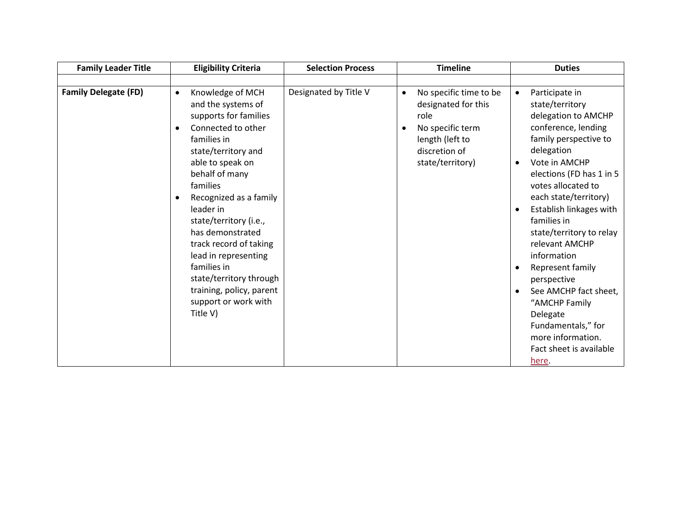| <b>Family Leader Title</b>  | <b>Eligibility Criteria</b>                                                                                                                                                                                                                                                                                                                                                                                                                                           | <b>Selection Process</b> | <b>Timeline</b>                                                                                                                                             | <b>Duties</b>                                                                                                                                                                                                                                                                                                                                                                                                                                                                                                                                                      |
|-----------------------------|-----------------------------------------------------------------------------------------------------------------------------------------------------------------------------------------------------------------------------------------------------------------------------------------------------------------------------------------------------------------------------------------------------------------------------------------------------------------------|--------------------------|-------------------------------------------------------------------------------------------------------------------------------------------------------------|--------------------------------------------------------------------------------------------------------------------------------------------------------------------------------------------------------------------------------------------------------------------------------------------------------------------------------------------------------------------------------------------------------------------------------------------------------------------------------------------------------------------------------------------------------------------|
|                             |                                                                                                                                                                                                                                                                                                                                                                                                                                                                       |                          |                                                                                                                                                             |                                                                                                                                                                                                                                                                                                                                                                                                                                                                                                                                                                    |
| <b>Family Delegate (FD)</b> | Knowledge of MCH<br>$\bullet$<br>and the systems of<br>supports for families<br>Connected to other<br>$\bullet$<br>families in<br>state/territory and<br>able to speak on<br>behalf of many<br>families<br>Recognized as a family<br>$\bullet$<br>leader in<br>state/territory (i.e.,<br>has demonstrated<br>track record of taking<br>lead in representing<br>families in<br>state/territory through<br>training, policy, parent<br>support or work with<br>Title V) | Designated by Title V    | No specific time to be<br>$\bullet$<br>designated for this<br>role<br>No specific term<br>$\bullet$<br>length (left to<br>discretion of<br>state/territory) | Participate in<br>$\bullet$<br>state/territory<br>delegation to AMCHP<br>conference, lending<br>family perspective to<br>delegation<br>Vote in AMCHP<br>$\bullet$<br>elections (FD has 1 in 5<br>votes allocated to<br>each state/territory)<br>Establish linkages with<br>$\bullet$<br>families in<br>state/territory to relay<br>relevant AMCHP<br>information<br>Represent family<br>$\bullet$<br>perspective<br>See AMCHP fact sheet,<br>$\bullet$<br>"AMCHP Family<br>Delegate<br>Fundamentals," for<br>more information.<br>Fact sheet is available<br>here. |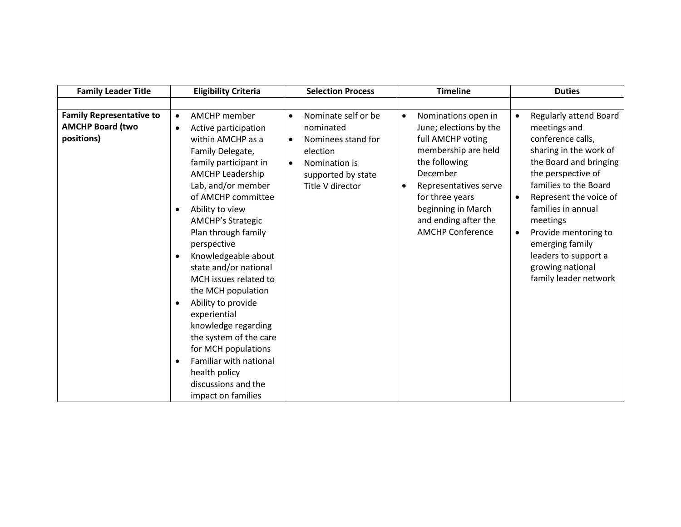| <b>Family Leader Title</b>                                               | <b>Eligibility Criteria</b>                                                                                                                                                                                                                                                                                                                                                                                                                                                                                                                                                                                                                           | <b>Selection Process</b>                                                                                                                                             | <b>Timeline</b>                                                                                                                                                                                                                                                       | <b>Duties</b>                                                                                                                                                                                                                                                                                                                                                                            |
|--------------------------------------------------------------------------|-------------------------------------------------------------------------------------------------------------------------------------------------------------------------------------------------------------------------------------------------------------------------------------------------------------------------------------------------------------------------------------------------------------------------------------------------------------------------------------------------------------------------------------------------------------------------------------------------------------------------------------------------------|----------------------------------------------------------------------------------------------------------------------------------------------------------------------|-----------------------------------------------------------------------------------------------------------------------------------------------------------------------------------------------------------------------------------------------------------------------|------------------------------------------------------------------------------------------------------------------------------------------------------------------------------------------------------------------------------------------------------------------------------------------------------------------------------------------------------------------------------------------|
|                                                                          |                                                                                                                                                                                                                                                                                                                                                                                                                                                                                                                                                                                                                                                       |                                                                                                                                                                      |                                                                                                                                                                                                                                                                       |                                                                                                                                                                                                                                                                                                                                                                                          |
| <b>Family Representative to</b><br><b>AMCHP Board (two</b><br>positions) | AMCHP member<br>$\bullet$<br>Active participation<br>$\bullet$<br>within AMCHP as a<br>Family Delegate,<br>family participant in<br><b>AMCHP Leadership</b><br>Lab, and/or member<br>of AMCHP committee<br>Ability to view<br>$\bullet$<br><b>AMCHP's Strategic</b><br>Plan through family<br>perspective<br>Knowledgeable about<br>$\bullet$<br>state and/or national<br>MCH issues related to<br>the MCH population<br>Ability to provide<br>$\bullet$<br>experiential<br>knowledge regarding<br>the system of the care<br>for MCH populations<br>Familiar with national<br>$\bullet$<br>health policy<br>discussions and the<br>impact on families | Nominate self or be<br>$\bullet$<br>nominated<br>Nominees stand for<br>$\bullet$<br>election<br>Nomination is<br>$\bullet$<br>supported by state<br>Title V director | Nominations open in<br>$\bullet$<br>June; elections by the<br>full AMCHP voting<br>membership are held<br>the following<br>December<br>Representatives serve<br>$\bullet$<br>for three years<br>beginning in March<br>and ending after the<br><b>AMCHP Conference</b> | <b>Regularly attend Board</b><br>$\bullet$<br>meetings and<br>conference calls,<br>sharing in the work of<br>the Board and bringing<br>the perspective of<br>families to the Board<br>Represent the voice of<br>$\bullet$<br>families in annual<br>meetings<br>Provide mentoring to<br>$\bullet$<br>emerging family<br>leaders to support a<br>growing national<br>family leader network |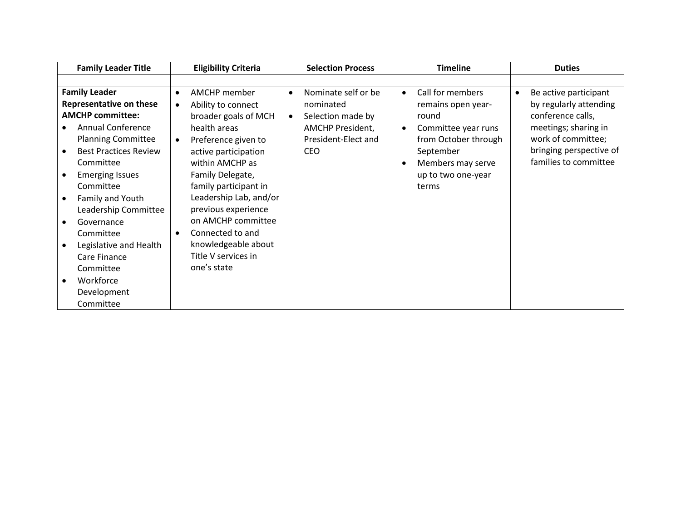| <b>Family Leader Title</b>     | <b>Eligibility Criteria</b>     | <b>Selection Process</b>         | <b>Timeline</b>                  | <b>Duties</b>                      |
|--------------------------------|---------------------------------|----------------------------------|----------------------------------|------------------------------------|
|                                |                                 |                                  |                                  |                                    |
| <b>Family Leader</b>           | AMCHP member<br>$\bullet$       | Nominate self or be<br>$\bullet$ | Call for members<br>$\bullet$    | Be active participant<br>$\bullet$ |
| <b>Representative on these</b> | Ability to connect<br>$\bullet$ | nominated                        | remains open year-               | by regularly attending             |
| <b>AMCHP committee:</b>        | broader goals of MCH            | Selection made by<br>$\bullet$   | round                            | conference calls,                  |
| <b>Annual Conference</b>       | health areas                    | <b>AMCHP President,</b>          | Committee year runs<br>$\bullet$ | meetings; sharing in               |
| <b>Planning Committee</b>      | Preference given to             | President-Elect and              | from October through             | work of committee;                 |
| <b>Best Practices Review</b>   | active participation            | <b>CEO</b>                       | September                        | bringing perspective of            |
| Committee                      | within AMCHP as                 |                                  | Members may serve                | families to committee              |
| <b>Emerging Issues</b>         | Family Delegate,                |                                  | up to two one-year               |                                    |
| Committee                      | family participant in           |                                  | terms                            |                                    |
| Family and Youth               | Leadership Lab, and/or          |                                  |                                  |                                    |
| Leadership Committee           | previous experience             |                                  |                                  |                                    |
| Governance                     | on AMCHP committee              |                                  |                                  |                                    |
| Committee                      | Connected to and<br>$\bullet$   |                                  |                                  |                                    |
| Legislative and Health         | knowledgeable about             |                                  |                                  |                                    |
| Care Finance                   | Title V services in             |                                  |                                  |                                    |
| Committee                      | one's state                     |                                  |                                  |                                    |
| Workforce                      |                                 |                                  |                                  |                                    |
| Development                    |                                 |                                  |                                  |                                    |
| Committee                      |                                 |                                  |                                  |                                    |